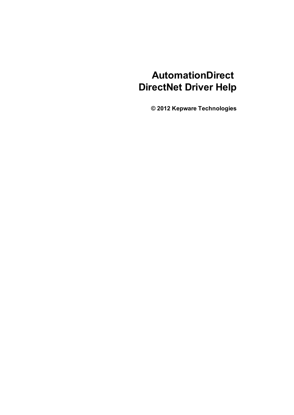# **AutomationDirect DirectNet Driver Help**

**© 2012 Kepware Technologies**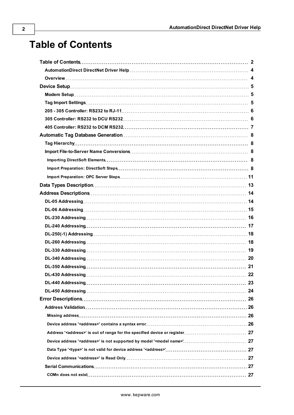# <span id="page-1-0"></span>**Table of Contents**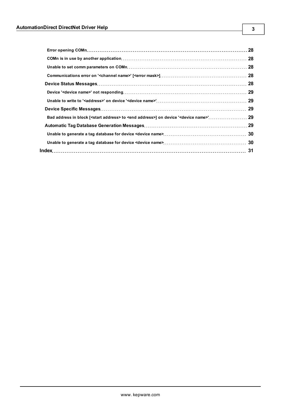| -29 |
|-----|
|     |
|     |
|     |
|     |
| 31  |

**3**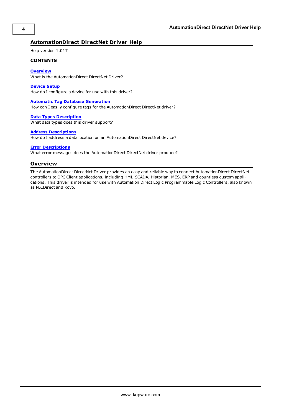# <span id="page-3-0"></span>**AutomationDirect DirectNet Driver Help**

Help version 1.017

#### **CONTENTS**

#### **[Overview](#page-3-1)**

What is the AutomationDirect DirectNet Driver?

#### **[Device](#page-4-0) [Setup](#page-4-0)**

How do I configure a device for use with this driver?

#### **[Automatic](#page-7-0) [Tag](#page-7-0) [Database](#page-7-0) [Generation](#page-7-0)**

How can I easily configure tags for the AutomationDirect DirectNet driver?

#### **[Data](#page-12-0) [Types](#page-12-0) [Description](#page-12-0)** What data types does this driver support?

#### **[Address](#page-13-0) [Descriptions](#page-13-0)**

How do I address a data location on an AutomationDirect DirectNet device?

#### **[Error](#page-25-0) [Descriptions](#page-25-0)**

<span id="page-3-1"></span>What error messages does the AutomationDirect DirectNet driver produce?

#### **Overview**

The AutomationDirect DirectNet Driver provides an easy and reliable way to connect AutomationDirect DirectNet controllers to OPC Client applications, including HMI, SCADA, Historian, MES, ERP and countless custom applications. This driver is intended for use with Automation Direct Logic Programmable Logic Controllers, also known as PLCDirect and Koyo.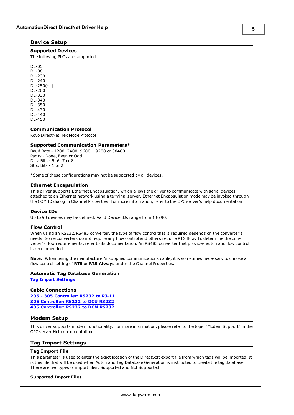#### <span id="page-4-0"></span>**Device Setup**

#### **Supported Devices**

The following PLCs are supported.

DL-05 DL-06 DL-230 DL-240 DL-250(-1) DL-260 DL-330 DL-340 DL-350 DL-430 DL-440 DL-450

#### **Communication Protocol**

Koyo DirectNet Hex Mode Protocol

#### **Supported Communication Parameters\***

Baud Rate - 1200, 2400, 9600, 19200 or 38400 Parity - None, Even or Odd Data Bits - 5, 6, 7 or 8 Stop Bits - 1 or 2

\*Some of these configurations may not be supported by all devices.

#### <span id="page-4-4"></span>**Ethernet Encapsulation**

This driver supports Ethernet Encapsulation, which allows the driver to communicate with serial devices attached to an Ethernet network using a terminal server. Ethernet Encapsulation mode may be invoked through the COM ID dialog in Channel Properties. For more information, refer to the OPC server's help documentation.

#### <span id="page-4-3"></span>**Device IDs**

Up to 90 devices may be defined. Valid Device IDs range from 1 to 90.

#### **Flow Control**

When using an RS232/RS485 converter, the type of flow control that is required depends on the converter's needs. Some converters do not require any flow control and others require RTS flow. To determine the converter's flow requirements, refer to its documentation. An RS485 converter that provides automatic flow control is recommended.

**Note:** When using the manufacturer's supplied communications cable, it is sometimes necessary to choose a flow control setting of **RTS** or **RTS Always** under the Channel Properties.

#### **Automatic Tag Database Generation**

**[Tag](#page-4-2) [Import](#page-4-2) [Settings](#page-4-2)**

#### **Cable Connections**

**[205](#page-5-0) [-](#page-5-0) [305](#page-5-0) [Controller:](#page-5-0) [RS232](#page-5-0) [to](#page-5-0) [RJ-11](#page-5-0) [305](#page-5-1) [Controller:](#page-5-1) [RS232](#page-5-1) [to](#page-5-1) [DCU](#page-5-1) [RS232](#page-5-1) [405](#page-6-0) [Controller:](#page-6-0) [RS232](#page-6-0) [to](#page-6-0) [DCM](#page-6-0) [RS232](#page-6-0)**

#### <span id="page-4-1"></span>**Modem Setup**

This driver supports modem functionality. For more information, please refer to the topic "Modem Support" in the OPC server Help documentation.

#### <span id="page-4-2"></span>**Tag Import Settings**

#### **Tag Import File**

This parameter is used to enter the exact location of the DirectSoft export file from which tags will be imported. It is this file that will be used when Automatic Tag Database Generation is instructed to create the tag database. There are two types of import files: Supported and Not Supported.

#### **Supported Import Files**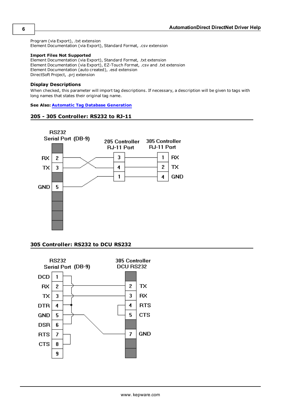<span id="page-5-2"></span>Program (via Export), .txt extension Element Documentation (via Export), Standard Format, .csv extension

#### **Import Files Not Supported**

Element Documentation (via Export), Standard Format, .txt extension Element Documentation (via Export), EZ-Touch Format, .csv and .txt extension Element Documentation (auto created), .esd extension DirectSoft Project, .prj extension

#### **Display Descriptions**

When checked, this parameter will import tag descriptions. If necessary, a description will be given to tags with long names that states their original tag name.

#### <span id="page-5-0"></span>**See Also: [Automatic](#page-7-0) [Tag](#page-7-0) [Database](#page-7-0) [Generation](#page-7-0)**

#### **205 - 305 Controller: RS232 to RJ-11**



#### <span id="page-5-1"></span>**305 Controller: RS232 to DCU RS232**

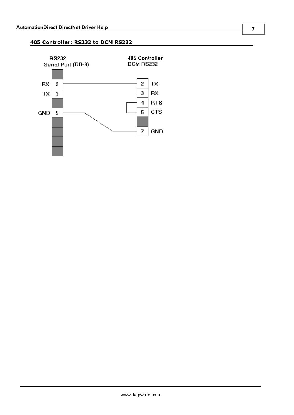# <span id="page-6-0"></span>**405 Controller: RS232 to DCM RS232**

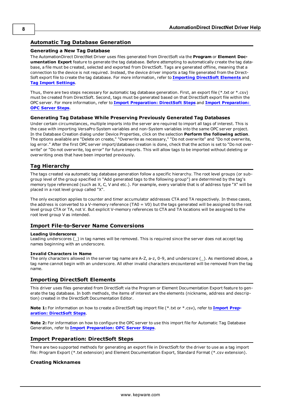# <span id="page-7-0"></span>**Automatic Tag Database Generation**

#### **Generating a New Tag Database**

The AutomationDirect DirectNet Driver uses files generated from DirectSoft via the **Program** or **Element Documentation Export** feature to generate the tag database. Before attempting to automatically create the tag database, a file must be created, selected and exported from DirectSoft. Tags are generated offline, meaning that a connection to the device is not required. Instead, the device driver imports a tag file generated from the Direct-Soft export file to create the tag database. For more information, refer to **[Importing](#page-7-3) [DirectSoft](#page-7-3) [Elements](#page-7-3)** and **[Tag](#page-4-2) [Import](#page-4-2) [Settings](#page-4-2)**.

Thus, there are two steps necessary for automatic tag database generation. First, an export file (\*.txt or \*.csv) must be created from DirectSoft. Second, tags must be generated based on that DirectSoft export file within the OPC server. For more information, refer to **[Import](#page-7-4) [Preparation:](#page-7-4) [DirectSoft](#page-7-4) [Steps](#page-7-4)** and **[Import](#page-10-0) [Preparation:](#page-10-0) [OPC](#page-10-0) [Server](#page-10-0) [Steps](#page-10-0)**.

#### **Generating Tag Database While Preserving Previously Generated Tag Databases**

Under certain circumstances, multiple imports into the server are required to import all tags of interest. This is the case with importing VersaPro System variables and non-System variables into the same OPC server project. In the Database Creation dialog under Device Properties, click on the selection **Perform the following action**. The options available are "Delete on create," "Overwrite as necessary," "Do not overwrite" and "Do not overwrite, log error." After the first OPC server import/database creation is done, check that the action is set to "Do not overwrite" or "Do not overwrite, log error" for future imports. This will allow tags to be imported without deleting or overwriting ones that have been imported previously.

# <span id="page-7-1"></span>**Tag Hierarchy**

The tags created via automatic tag database generation follow a specific hierarchy. The root level groups (or subgroup level of the group specified in "Add generated tags to the following group") are determined by the tag's memory type referenced (such as X, C, V and etc.). For example, every variable that is of address type "X" will be placed in a root level group called "X".

The only exception applies to counter and timer accumulator addresses CTA and TA respectively. In these cases, the address is converted to a V-memory reference (TA0 = V0) but the tags generated will be assigned to the root level group CTA or TA, not V. But explicit V-memory references to CTA and TA locations will be assigned to the root level group V as intended.

#### <span id="page-7-2"></span>**Import File-to-Server Name Conversions**

#### **Leading Underscores**

Leading underscores (\_) in tag names will be removed. This is required since the server does not accept tag names beginning with an underscore.

#### **Invalid Characters in Name**

The only characters allowed in the server tag name are A-Z, a-z, 0-9, and underscore (\_). As mentioned above, a tag name cannot begin with an underscore. All other invalid characters encountered will be removed from the tag name.

#### <span id="page-7-3"></span>**Importing DirectSoft Elements**

This driver uses files generated from DirectSoft via the Program or Element Documentation Export feature to generate the tag database. In both methods, the items of interest are the elements (nickname, address and description) created in the DirectSoft Documentation Editor.

**Note 1:** For information on how to create a DirectSoft tag import file (\*.txt or \*.csv), refer to **[Import](#page-7-4) [Prep](#page-7-4)[aration:](#page-7-4) [DirectSoft](#page-7-4) [Steps](#page-7-4)**.

**Note 2:** For information on how to configure the OPC server to use this import file for Automatic Tag Database Generation, refer to **[Import](#page-10-0) [Preparation:](#page-10-0) [OPC](#page-10-0) [Server](#page-10-0) [Steps](#page-10-0)**.

#### <span id="page-7-4"></span>**Import Preparation: DirectSoft Steps**

There are two supported methods for generating an export file in DirectSoft for the driver to use as a tag import file: Program Export (\*.txt extension) and Element Documentation Export, Standard Format (\*.csv extension).

#### **Creating Nicknames**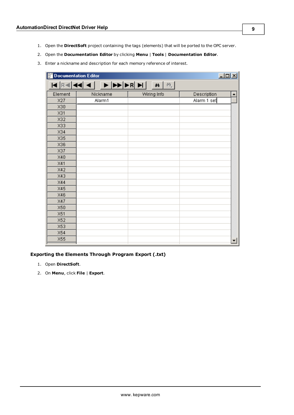- 1. Open the **DirectSoft** project containing the tags (elements) that will be ported to the OPC server.
- 2. Open the **Documentation Editor** by clicking **Menu** | **Tools** | **Documentation Editor**.
- 3. Enter a nickname and description for each memory reference of interest.

| <b>Documentation Editor</b> |                        |                           | $L = 1$     |
|-----------------------------|------------------------|---------------------------|-------------|
|                             | E REN 21 1   D DD DR D | $\mathbf{M}$ $\mathbf{M}$ |             |
| Element                     | Nickname               | Wiring Info               | Description |
| X27                         | Alarm1                 |                           | Alarm 1 set |
| X30                         |                        |                           |             |
| X31                         |                        |                           |             |
| X32                         |                        |                           |             |
| X33                         |                        |                           |             |
| X34                         |                        |                           |             |
| X35                         |                        |                           |             |
| X36                         |                        |                           |             |
| X37                         |                        |                           |             |
| X40                         |                        |                           |             |
| X41                         |                        |                           |             |
| X42                         |                        |                           |             |
| X43                         |                        |                           |             |
| X44                         |                        |                           |             |
| X45                         |                        |                           |             |
| X46                         |                        |                           |             |
| X47                         |                        |                           |             |
| X50                         |                        |                           |             |
| X51                         |                        |                           |             |
| X52                         |                        |                           |             |
| X53                         |                        |                           |             |
| X54                         |                        |                           |             |
| X55                         |                        |                           | ▾           |

### **Exporting the Elements Through Program Export (.txt)**

- 1. Open **DirectSoft**.
- 2. On **Menu**, click **File** | **Export**.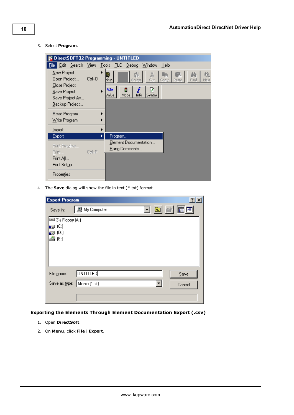3. Select **Program**.

|                                                                                                   |            | DirectSOFT32 Programming - UNTITLED                                                                                             |
|---------------------------------------------------------------------------------------------------|------------|---------------------------------------------------------------------------------------------------------------------------------|
| File                                                                                              |            | Edit Search View Tools PLC Debug<br>Window<br>$He$ lp                                                                           |
| New Project<br>Open Project<br>Close Project<br>Save Project<br>Save Project As<br>Backup Project | $C$ trl+0  | X,<br>魄<br>画<br>- 2<br>Next<br>Cut.<br>Find<br>Paste<br>  ‡kup<br>Copy<br>Accept<br>Y2*<br>ⅅ<br>Info<br>Value<br>Mode<br>Syntax |
| Read Program<br>Write Program                                                                     |            |                                                                                                                                 |
| Import                                                                                            |            |                                                                                                                                 |
| Export                                                                                            |            | <u>P</u> rogram…                                                                                                                |
| Print Preview<br>Print                                                                            | $Ctrl + P$ | Element Documentation<br><b>Rung Comments</b>                                                                                   |
| Print All                                                                                         |            |                                                                                                                                 |
| Print Setup                                                                                       |            |                                                                                                                                 |
| Properties                                                                                        |            |                                                                                                                                 |

4. The **Save** dialog will show the file in text (\*.txt) format.

| <b>Export Program</b> |                      |                          | 2x                                                                                                                                                          |  |
|-----------------------|----------------------|--------------------------|-------------------------------------------------------------------------------------------------------------------------------------------------------------|--|
| Save in:              | <b>鳳</b> My Computer |                          | $\overline{\phantom{aa}}$ $\overline{\phantom{aa}}$ $\overline{\phantom{aa}}$ $\overline{\phantom{aa}}$ $\overline{\phantom{aa}}$ $\overline{\phantom{aa}}$ |  |
| ⊒ 3½ Floppy (A:)      |                      |                          |                                                                                                                                                             |  |
| @ (C:)<br>@ (D:)      |                      |                          |                                                                                                                                                             |  |
| (E)                   |                      |                          |                                                                                                                                                             |  |
|                       |                      |                          |                                                                                                                                                             |  |
|                       |                      |                          |                                                                                                                                                             |  |
|                       |                      |                          |                                                                                                                                                             |  |
| File name:            | <b>UNTITLED</b>      |                          | Save                                                                                                                                                        |  |
| Save as type:         | Monic (*.txt)        | $\overline{\phantom{a}}$ | Cancel                                                                                                                                                      |  |
|                       |                      |                          |                                                                                                                                                             |  |
|                       |                      |                          |                                                                                                                                                             |  |

**Exporting the Elements Through Element Documentation Export (.csv)**

- 1. Open **DirectSoft**.
- 2. On **Menu**, click **File** | **Export**.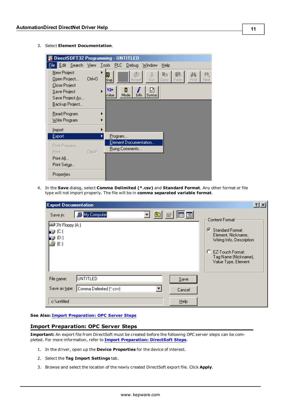3. Select **Element Documentation**.

|                                                                                 | DirectSOFT32 Programming - UNTITLED                                                                                                             |
|---------------------------------------------------------------------------------|-------------------------------------------------------------------------------------------------------------------------------------------------|
| File                                                                            | Edit <u>S</u> earch <u>V</u> iew Tools PLC Debug Window<br>Help                                                                                 |
| New Project<br>Open Project<br>Close Project<br>Save Project<br>Save Project As | X,<br>虪<br>м<br>Libr<br>画<br>$Cth+O$<br>Cut<br>Find<br>:kup <br>Paste<br>Next<br>Accept<br>Copy<br>৸<br>Y2×<br>Mode<br>Info<br>Syntax<br>Zalue. |
| Backup Project                                                                  |                                                                                                                                                 |
| Read Program<br>Write Program                                                   |                                                                                                                                                 |
| Import                                                                          |                                                                                                                                                 |
| Export                                                                          | Program                                                                                                                                         |
| Print Preview<br>Print<br>Print All                                             | Element Documentation<br><b>Rung Comments</b><br>$C$ trl+ $P$                                                                                   |
| Print Setup                                                                     |                                                                                                                                                 |
| Properties                                                                      |                                                                                                                                                 |

4. In the **Save** dialog, select **Comma Delimited (\*.csv)** and **Standard Format**. Any other format or file type will not import properly. The file will be in **comma separated variable format**.

| <b>Export Documentation</b>                                                                                  | $2$ $\times$                                                                                                                                                                |
|--------------------------------------------------------------------------------------------------------------|-----------------------------------------------------------------------------------------------------------------------------------------------------------------------------|
| G<br>圃圃<br>▾╎<br>My Computer<br>Save in:<br>■3½ Floppy (A:)<br>g (C)<br>$\bigcirc$ (D:)<br>$\triangleq$ (E:) | Content Format:<br>$\epsilon$<br>Standard Format:<br>Element, Nickname,<br>Wiring Info, Description<br>o<br>EZ-Touch Format:<br>Tag Name (Nickname),<br>Value Type, Element |
| UNTITLED<br>File name:<br>Save<br>Comma Delimited (*.csv)<br>Save as type:<br>Cancel                         |                                                                                                                                                                             |
| Help<br>c:\untitled                                                                                          |                                                                                                                                                                             |

#### <span id="page-10-0"></span>**See Also: [Import](#page-10-0) [Preparation:](#page-10-0) [OPC](#page-10-0) [Server](#page-10-0) [Steps](#page-10-0)**

#### **Import Preparation: OPC Server Steps**

**Important:** An export file from DirectSoft must be created before the following OPC server steps can be completed. For more information, refer to **[Import](#page-7-4) [Preparation:](#page-7-4) [DirectSoft](#page-7-4) [Steps](#page-7-4)**.

- 1. In the driver, open up the **Device Properties** for the device of interest.
- 2. Select the **Tag Import Settings** tab.
- 3. Browse and select the location of the newly created DirectSoft export file. Click **Apply**.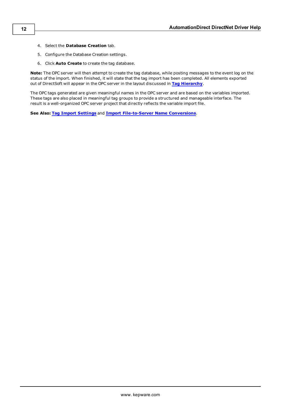- 4. Select the **Database Creation** tab.
- 5. Configure the Database Creation settings.
- 6. Click **Auto Create** to create the tag database.

**Note:** The OPC server will then attempt to create the tag database, while posting messages to the event log on the status of the import. When finished, it will state that the tag import has been completed. All elements exported out of DirectSoft will appear in the OPC server in the layout discussed in **[Tag](#page-7-1) [Hierarchy](#page-7-1)**.

The OPC tags generated are given meaningful names in the OPC server and are based on the variables imported. These tags are also placed in meaningful tag groups to provide a structured and manageable interface. The result is a well-organized OPC server project that directly reflects the variable import file.

**See Also: [Tag](#page-4-2) [Import](#page-4-2) [Settings](#page-4-2)** and **[Import](#page-7-2) [File-to-Server](#page-7-2) [Name](#page-7-2) [Conversions](#page-7-2)**.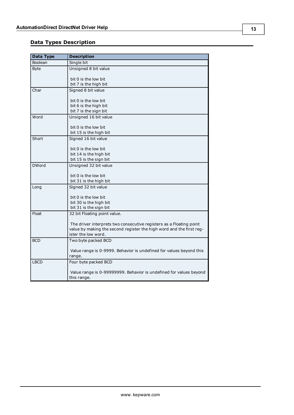# <span id="page-12-0"></span>**Data Types Description**

<span id="page-12-9"></span><span id="page-12-8"></span><span id="page-12-7"></span><span id="page-12-6"></span><span id="page-12-5"></span><span id="page-12-4"></span><span id="page-12-3"></span><span id="page-12-2"></span><span id="page-12-1"></span>

| <b>Data Type</b> | <b>Description</b>                                                   |
|------------------|----------------------------------------------------------------------|
| Boolean          | Single bit                                                           |
| <b>Byte</b>      | Unsigned 8 bit value                                                 |
|                  |                                                                      |
|                  | bit 0 is the low bit<br>bit 7 is the high bit                        |
| Char             |                                                                      |
|                  | Signed 8 bit value                                                   |
|                  | bit 0 is the low bit                                                 |
|                  | bit 6 is the high bit                                                |
|                  | bit 7 is the sign bit                                                |
| Word             | Unsigned 16 bit value                                                |
|                  |                                                                      |
|                  | bit 0 is the low bit                                                 |
|                  | bit 15 is the high bit                                               |
| Short            | Signed 16 bit value                                                  |
|                  | bit 0 is the low bit                                                 |
|                  | bit 14 is the high bit                                               |
|                  | bit 15 is the sign bit                                               |
| <b>DWord</b>     | Unsigned 32 bit value                                                |
|                  |                                                                      |
|                  | bit 0 is the low bit                                                 |
|                  | bit 31 is the high bit                                               |
| Long             | Signed 32 bit value                                                  |
|                  | bit 0 is the low bit                                                 |
|                  | bit 30 is the high bit                                               |
|                  | bit 31 is the sign bit                                               |
| Float            | 32 bit Floating point value.                                         |
|                  |                                                                      |
|                  | The driver interprets two consecutive registers as a Floating point  |
|                  | value by making the second register the high word and the first reg- |
|                  | ister the low word.                                                  |
| <b>BCD</b>       | Two byte packed BCD                                                  |
|                  | Value range is 0-9999. Behavior is undefined for values beyond this  |
|                  | range.                                                               |
| <b>LBCD</b>      | Four byte packed BCD                                                 |
|                  |                                                                      |
|                  | Value range is 0-99999999. Behavior is undefined for values beyond   |
|                  | this range.                                                          |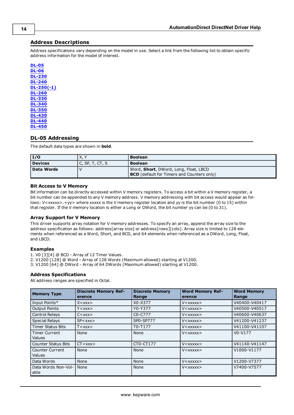# <span id="page-13-0"></span>**Address Descriptions**

Address specifications vary depending on the model in use. Select a link from the following list to obtain specific address information for the model of interest.

| DL-05                |
|----------------------|
| б<br>۰<br>Π          |
| L-230<br>D           |
| O<br>D<br>L-24       |
| L-250(-1)<br>D       |
| -26<br>O<br>D        |
| -33<br>O<br>D        |
| <u>L-3</u><br>D<br>4 |
| O<br>L-35<br>D       |
| O<br>L-4<br>D<br>з   |
| D<br>4<br>4          |
| -4                   |

# <span id="page-13-1"></span>**DL-05 Addressing**

The default data types are shown in **bold**.

| I/O        | X. \               | <b>Boolean</b>                                    |  |
|------------|--------------------|---------------------------------------------------|--|
| Devices    | C, SP, T, $CT$ , S | <b>Boolean</b>                                    |  |
| Data Words |                    | Word, Short, DWord, Long, Float, LBCD             |  |
|            |                    | <b>BCD</b> (default for Timers and Counters only) |  |

#### **Bit Access to V Memory**

Bit information can be directly accessed within V memory registers. To access a bit within a V memory register, a bit number can be appended to any V memory address. V memory addressing with bit access would appear as follows: V<xxxxx>.<yy> where xxxxx is the V memory register location and yy is the bit number (0 to 15) within that register. If the V memory location is either a Long or DWord, the bit number yy can be (0 to 31).

#### **Array Support for V Memory**

This driver supports array notation for V memory addresses. To specify an array, append the array size to the address specification as follows: address[array size] or address[rows][cols]. Array size is limited to 128 elements when referenced as a Word, Short, and BCD, and 64 elements when referenced as a DWord, Long, Float, and LBCD.

#### **Examples**

1. V0 [3][4] @ BCD - Array of 12 Timer Values.

2. V1200 [128] @ Word - Array of 128 Words (Maximum allowed) starting at V1200.

3. V1200 [64] @ DWord - Array of 64 DWords (Maximum allowed) starting at V1200.

#### **Address Specifications**

All address ranges are specified in Octal.

| <b>Memory Type</b>                    | <b>Discrete Memory Ref-</b><br>erence | <b>Discrete Memory</b><br>Range  | <b>Word Memory Ref-</b><br>erence                  | <b>Word Memory</b><br>Range |
|---------------------------------------|---------------------------------------|----------------------------------|----------------------------------------------------|-----------------------------|
| Input Points*                         | $X <$ $X$ $X$ $X$ $>$                 | X0-X377                          | $V <$ $\times$ $\times$ $\times$ $\times$ $\times$ | V40400-V40417               |
| <b>Output Points</b>                  | Y < xxx                               | Y0-Y377                          | $V <$ xxxxx $>$                                    | V40500-V40517               |
| Control Relays                        | $C<$ xxx $>$                          | C <sub>0</sub> -C <sub>777</sub> | $V <$ $\times$ $\times$ $\times$ $\times$ $\times$ | V40600-V40637               |
| <b>Special Relays</b>                 | SP < xxx                              | SP0-SP777                        | $V <$ $\times$ $\times$ $\times$ $\times$ $\times$ | V41200-V41237               |
| <b>Timer Status Bits</b>              | $T <$ xxx $>$                         | T0-T177                          | $V <$ $\times$ $\times$ $\times$ $\times$ $\times$ | V41100-V41107               |
| <b>Timer Current</b><br><b>Values</b> | None                                  | None                             | $V<$ xxxxx $>$                                     | $V0-V177$                   |
| <b>Counter Status Bits</b>            | CT < xxx                              | CT0-CT177                        | $V <$ XXXXX $>$                                    | V41140-V41147               |
| Counter Current<br><b>Values</b>      | None                                  | None                             | $V <$ $\times$ $\times$ $\times$ $\times$ $\times$ | V1000-V1177                 |
| Data Words                            | None                                  | None                             | V <xxxxx></xxxxx>                                  | V1200-V7377                 |
| Data Words Non-Vol-<br>atile          | None                                  | None                             | $V <$ $\times$ $\times$ $\times$ $\times$ $\times$ | V7400-V7577                 |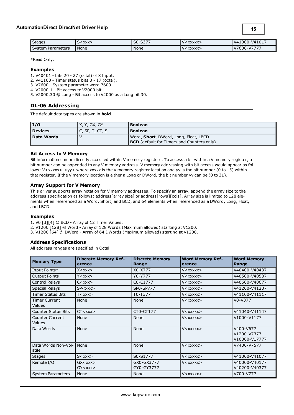| <b>Stages</b>     | <xxx><br/>┘</xxx> | $\sim$<br>co.<br><u>JU - 1</u><br>/ دد | $<$ XXXXX $>$       | V41000-V41017      |
|-------------------|-------------------|----------------------------------------|---------------------|--------------------|
| System Parameters | None              | None                                   | $<$ XXXXX $>$<br>V< | $\sqrt{600 - 777}$ |

#### **Examples**

1. V40401 - bits 20 - 27 (octal) of X Input.

2. V41100 - Timer status bits 0 - 17 (octal).

3. V7600 - System parameter word 7600.

4. V2000.1 - Bit access to V2000 bit 1.

<span id="page-14-0"></span>5. V2000.30 @ Long - Bit access to V2000 as a Long bit 30.

#### **DL-06 Addressing**

The default data types are shown in **bold**.

| I/O            | X, Y, GX, GY      | <b>Boolean</b>                                    |  |
|----------------|-------------------|---------------------------------------------------|--|
| <b>Devices</b> | I C, SP, T, CT, S | <b>Boolean</b>                                    |  |
| Data Words     |                   | Word, <b>Short</b> , DWord, Long, Float, LBCD     |  |
|                |                   | <b>BCD</b> (default for Timers and Counters only) |  |

#### **Bit Access to V Memory**

Bit information can be directly accessed within V memory registers. To access a bit within a V memory register, a bit number can be appended to any V memory address. V memory addressing with bit access would appear as follows: V<xxxxx>.<yy> where xxxxx is the V memory register location and yy is the bit number (0 to 15) within that register. If the V memory location is either a Long or DWord, the bit number yy can be (0 to 31).

### **Array Support for V Memory**

This driver supports array notation for V memory addresses. To specify an array, append the array size to the address specification as follows: address[array size] or address[rows][cols]. Array size is limited to 128 elements when referenced as a Word, Short, and BCD, and 64 elements when referenced as a DWord, Long, Float, and LBCD.

#### **Examples**

1. V0 [3][4] @ BCD - Array of 12 Timer Values.

2. V1200 [128] @ Word - Array of 128 Words (Maximum allowed) starting at V1200.

3. V1200 [64] @ DWord - Array of 64 DWords (Maximum allowed) starting at V1200.

#### **Address Specifications**

All address ranges are specified in Octal.

| <b>Memory Type</b>               | <b>Discrete Memory Ref-</b><br>erence       | <b>Discrete Memory</b><br>Range | <b>Word Memory Ref-</b><br>erence                  | <b>Word Memory</b><br>Range               |
|----------------------------------|---------------------------------------------|---------------------------------|----------------------------------------------------|-------------------------------------------|
| Input Points*                    | $X <$ $XXX>$                                | X0-X777                         | $V <$ $\times$ $\times$ $\times$ $\times$ $\times$ | V40400-V40437                             |
| <b>Output Points</b>             | $Y <$ $\chi$ $\chi$ $\chi$ $>$              | Y0-Y777                         | $V <$ $\times$ $\times$ $\times$ $\times$ $\times$ | V40500-V40537                             |
| Control Relays                   | $C<\mathsf{XXX}$                            | C0-C1777                        | $V <$ $\times$ $\times$ $\times$ $\times$ $\times$ | V40600-V40677                             |
| <b>Special Relays</b>            | SP < x < x >                                | SP0-SP777                       | $V<$ XXXXX $>$                                     | V41200-V41237                             |
| <b>Timer Status Bits</b>         | T < xxx                                     | T0-T377                         | $V <$ $\times$ $\times$ $\times$ $\times$ $\times$ | V41100-V41117                             |
| <b>Timer Current</b><br>Values   | None                                        | None                            | V <xxxxx></xxxxx>                                  | $V0-V377$                                 |
| <b>Counter Status Bits</b>       | CT < xxx                                    | CT0-CT177                       | $V <$ xxxxx $>$                                    | V41040-V41147                             |
| <b>Counter Current</b><br>Values | None                                        | None                            | $V <$ $\times$ $\times$ $\times$ $\times$ $\times$ | V1000-V1177                               |
| Data Words                       | None                                        | None                            | $V <$ $\times$ $\times$ $\times$ $\times$ $\times$ | V400-V677<br>V1200-V7377<br>V10000-V17777 |
| Data Words Non-Vol-<br>atile     | None                                        | None                            | V <xxxxx></xxxxx>                                  | V7400-V7577                               |
| <b>Stages</b>                    | $S<$ xxx $>$                                | S0-S1777                        | $V<$ XXXXX $>$                                     | V41000-V41077                             |
| Remote I/O                       | $GX$ < $xxx$<br>$GY <$ $\chi$ $\chi$ $\chi$ | GX0-GX3777<br>GY0-GY3777        | $V <$ $\times$ $\times$ $\times$ $\times$ $\times$ | V40000-V40177<br>V40200-V40377            |
| <b>System Parameters</b>         | None                                        | None                            | $V<$ XXXXX $>$                                     | V700-V777                                 |

**15**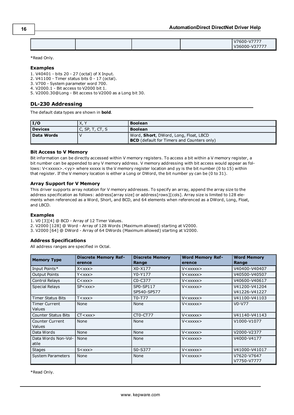| V7600-V7777<br>V36000-V37777 |
|------------------------------|
|------------------------------|

#### **Examples**

- 1. V40401 bits 20 27 (octal) of X Input.
- 2. V41100 Timer status bits 0 17 (octal).
- 3. V700 System parameter word 700.
- 4. V2000.1 Bit access to V2000 bit 1.

<span id="page-15-0"></span>5. V2000.30@Long - Bit access to V2000 as a Long bit 30.

### **DL-230 Addressing**

The default data types are shown in **bold**.

| 1/0        | X. `            | <b>Boolean</b>                                    |  |
|------------|-----------------|---------------------------------------------------|--|
| Devices    | C, SP, T, CT, S | <b>Boolean</b>                                    |  |
| Data Words |                 | Word, Short, DWord, Long, Float, LBCD             |  |
|            |                 | <b>BCD</b> (default for Timers and Counters only) |  |

### **Bit Access to V Memory**

Bit information can be directly accessed within V memory registers. To access a bit within a V memory register, a bit number can be appended to any V memory address. V memory addressing with bit access would appear as follows: V<xxxxx>.<yy> where xxxxx is the V memory register location and yy is the bit number (0 to 15) within that register. If the V memory location is either a Long or DWord, the bit number yy can be (0 to 31).

#### **Array Support for V Memory**

This driver supports array notation for V memory addresses. To specify an array, append the array size to the address specification as follows: address[array size] or address[rows][cols]. Array size is limited to 128 elements when referenced as a Word, Short, and BCD, and 64 elements when referenced as a DWord, Long, Float, and LBCD.

### **Examples**

- 1. V0 [3][4] @ BCD Array of 12 Timer Values.
- 2. V2000 [128] @ Word Array of 128 Words (Maximum allowed) starting at V2000.
- 3. V2000 [64] @ DWord Array of 64 DWords (Maximum allowed) starting at V2000.

#### **Address Specifications**

All address ranges are specified in Octal.

| <b>Memory Type</b>                      | <b>Discrete Memory Ref-</b><br>erence | <b>Discrete Memory</b><br>Range  | <b>Word Memory Ref-</b><br>erence                  | <b>Word Memory</b><br>Range    |
|-----------------------------------------|---------------------------------------|----------------------------------|----------------------------------------------------|--------------------------------|
| Input Points*                           | $X <$ $X$ $X$ $X$ $>$                 | X0-X177                          | $V <$ $\times$ $\times$ $\times$ $\times$ $\times$ | V40400-V40407                  |
| <b>Output Points</b>                    | $Y <$ $\chi$ $\chi$ $\chi$ $>$        | Y0-Y177                          | $V <$ $\times$ $\times$ $\times$ $\times$ $\times$ | V40500-V40507                  |
| <b>Control Relays</b>                   | $C<$ $\chi$ $\chi$ $\chi$ $>$         | C <sub>0</sub> -C <sub>377</sub> | $V <$ $\times$ $\times$ $\times$ $\times$ $\times$ | V40600-V40617                  |
| <b>Special Relays</b>                   | SP < xxx                              | SP0-SP117<br>SP540-SP577         | $V <$ xxxxx $>$                                    | V41200-V41204<br>V41226-V41227 |
| <b>Timer Status Bits</b>                | T < xxx                               | T0-T77                           | $V <$ $\times$ $\times$ $\times$ $\times$ $\times$ | V41100-V41103                  |
| <b>Timer Current</b><br><b>Values</b>   | None                                  | None                             | $V <$ $\times$ $\times$ $\times$ $\times$ $\times$ | $V0-V77$                       |
| <b>Counter Status Bits</b>              | CT < xxx >                            | CT0-CT77                         | $V<$ XXXXX $>$                                     | V41140-V41143                  |
| <b>Counter Current</b><br><b>Values</b> | None                                  | None                             | $V <$ $\times$ $\times$ $\times$ $\times$ $\times$ | V1000-V1077                    |
| Data Words                              | None                                  | None                             | $V <$ $\times$ $\times$ $\times$ $\times$ $\times$ | V2000-V2377                    |
| Data Words Non-Vol-<br>atile            | None                                  | None                             | V <xxxxx></xxxxx>                                  | V4000-V4177                    |
| <b>Stages</b>                           | $S<$ xxx $>$                          | S0-S377                          | $V <$ $\times$ $\times$ $\times$ $\times$ $\times$ | V41000-V41017                  |
| <b>System Parameters</b>                | None                                  | None                             | V <xxxxx></xxxxx>                                  | V7620-V7647<br>V7750-V7777     |

\*Read Only.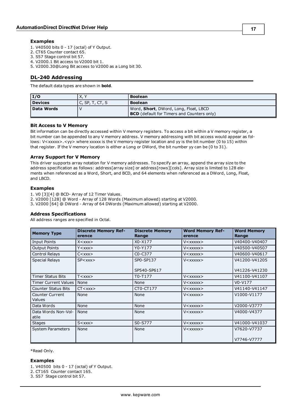#### **Examples**

- 1. V40500 bits 0 17 (octal) of Y Output.
- 2. CT65 Counter contact 65.
- 3. S57 Stage control bit 57.
- 4. V2000.1 Bit access to V2000 bit 1.
- <span id="page-16-0"></span>5. V2000.30@Long Bit access to V2000 as a Long bit 30.

### **DL-240 Addressing**

The default data types are shown in **bold**.

| $\vert$ I/O    | X. Y               | <b>Boolean</b>                                    |  |
|----------------|--------------------|---------------------------------------------------|--|
| <b>Devices</b> | C, SP, T, $CT$ , S | l Boolean                                         |  |
| Data Words     |                    | Word, Short, DWord, Long, Float, LBCD             |  |
|                |                    | <b>BCD</b> (default for Timers and Counters only) |  |

#### **Bit Access to V Memory**

Bit information can be directly accessed within V memory registers. To access a bit within a V memory register, a bit number can be appended to any V memory address. V memory addressing with bit access would appear as follows: V<xxxxx>.<yy> where xxxxx is the V memory register location and yy is the bit number (0 to 15) within that register. If the V memory location is either a Long or DWord, the bit number yy can be (0 to 31).

#### **Array Support for V Memory**

This driver supports array notation for V memory addresses. To specify an array, append the array size to the address specification as follows: address[array size] or address[rows][cols]. Array size is limited to 128 elements when referenced as a Word, Short, and BCD, and 64 elements when referenced as a DWord, Long, Float, and LBCD.

#### **Examples**

1. V0 [3][4] @ BCD- Array of 12 Timer Values.

- 2. V2000 [128] @ Word Array of 128 Words (Maximum allowed) starting at V2000.
- 3. V2000 [64] @ DWord Array of 64 DWords (Maximum allowed) starting at V2000.

#### **Address Specifications**

All address ranges are specified in Octal.

| <b>Memory Type</b>                      | <b>Discrete Memory Ref-</b><br>erence             | <b>Discrete Memory</b><br>Range  | <b>Word Memory Ref-</b><br>erence                  | <b>Word Memory</b><br>Range    |
|-----------------------------------------|---------------------------------------------------|----------------------------------|----------------------------------------------------|--------------------------------|
| <b>Input Points</b>                     | $X <$ $XXX>$                                      | X0-X177                          | V <xxxxx></xxxxx>                                  | V40400-V40407                  |
| <b>Output Points</b>                    | $Y <$ $\chi$ $\chi$ $\chi$ $>$                    | Y0-Y177                          | V <xxxxx></xxxxx>                                  | V40500-V40507                  |
| Control Relays                          | $C<$ $\angle$ $\times$ $\times$ $\times$          | C <sub>0</sub> -C <sub>377</sub> | V <xxxxx></xxxxx>                                  | V40600-V40617                  |
| <b>Special Relays</b>                   | SP < xxx                                          | SP0-SP137<br>SP540-SP617         | $V <$ $\times$ $\times$ $\times$ $\times$ $\times$ | V41200-V41205<br>V41226-V41230 |
| <b>Timer Status Bits</b>                | T < xxx                                           | T0-T177                          | $V <$ $\times$ $\times$ $\times$ $\times$ $\times$ | V41100-V41107                  |
| <b>Timer Current Values  </b>           | None                                              | None                             | V <xxxxx></xxxxx>                                  | $V0-V177$                      |
| <b>Counter Status Bits</b>              | CT < xxx                                          | CT0-CT177                        | V <xxxxx></xxxxx>                                  | V41140-V41147                  |
| <b>Counter Current</b><br><b>Values</b> | None                                              | None                             | $V <$ xxxxx $>$                                    | V1000-V1177                    |
| Data Words                              | None                                              | None                             | $V <$ $\times$ $\times$ $\times$ $\times$ $\times$ | V2000-V3777                    |
| Data Words Non-Vol-<br>atile            | None                                              | None                             | V <xxxxx></xxxxx>                                  | V4000-V4377                    |
| <b>Stages</b>                           | $S<$ $\angle$ $\angle$ $\times$ $\times$ $\times$ | S0-S777                          | V <xxxxx></xxxxx>                                  | V41000-V41037                  |
| <b>System Parameters</b>                | None                                              | None                             | V <xxxxx></xxxxx>                                  | V7620-V7737<br>V7746-V7777     |

\*Read Only.

#### **Examples**

1. V40500 bits 0 - 17 (octal) of Y Output.

2. CT165 Counter contact 165.

3. S57 Stage control bit 57.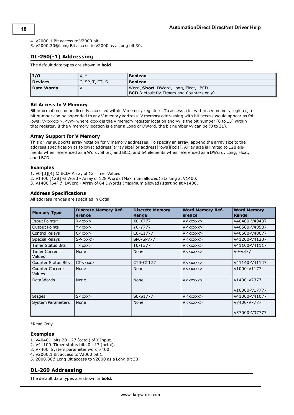- 4. V2000.1 Bit access to V2000 bit 1.
- <span id="page-17-0"></span>5. V2000.30@Long Bit access to V2000 as a Long bit 30.

### **DL-250(-1) Addressing**

The default data types are shown in **bold**.

| $\overline{I/O}$ | <b>X.Y</b>         | <b>Boolean</b>                                    |  |
|------------------|--------------------|---------------------------------------------------|--|
| Devices          | C, SP, T, $CT$ , S | l Boolean                                         |  |
| Data Words       |                    | Word, Short, DWord, Long, Float, LBCD             |  |
|                  |                    | <b>BCD</b> (default for Timers and Counters only) |  |

#### **Bit Access to V Memory**

Bit information can be directly accessed within V memory registers. To access a bit within a V memory register, a bit number can be appended to any V memory address. V memory addressing with bit access would appear as follows: V<xxxxx>.<yy> where xxxxx is the V memory register location and yy is the bit number (0 to 15) within that register. If the V memory location is either a Long or DWord, the bit number yy can be (0 to 31).

#### **Array Support for V Memory**

This driver supports array notation for V memory addresses. To specify an array, append the array size to the address specification as follows: address[array size] or address[rows][cols]. Array size is limited to 128 elements when referenced as a Word, Short, and BCD, and 64 elements when referenced as a DWord, Long, Float, and LBCD.

#### **Examples**

1. V0 [3][4] @ BCD- Array of 12 Timer Values.

2. V1400 [128] @ Word - Array of 128 Words (Maximum allowed) starting at V1400.

3. V1400 [64] @ DWord - Array of 64 DWords (Maximum allowed) starting at V1400.

#### **Address Specifications**

All address ranges are specified in Octal.

| <b>Memory Type</b>                    | <b>Discrete Memory Ref-</b><br>erence | <b>Discrete Memory</b><br>Range | <b>Word Memory Ref-</b><br>erence                  | <b>Word Memory</b><br>Range  |
|---------------------------------------|---------------------------------------|---------------------------------|----------------------------------------------------|------------------------------|
| Input Points*                         | $X <$ $XXX>$                          | X0-X777                         | V <xxxxx></xxxxx>                                  | V40400-V40437                |
| <b>Output Points</b>                  | $Y <$ $\chi$ $\chi$ $\chi$ $>$        | Y0-Y777                         | $V <$ $\times$ $\times$ $\times$ $\times$ $\times$ | V40500-V40537                |
| Control Relays                        | $C<$ $\chi$ $\chi$ $\chi$ $>$         | C0-C1777                        | $V <$ $\times$ $\times$ $\times$ $\times$ $\times$ | V40600-V40677                |
| <b>Special Relays</b>                 | SP < x < x >                          | SP0-SP777                       | $V <$ $\times$ $\times$ $\times$ $\times$ $\times$ | V41200-V41237                |
| <b>Timer Status Bits</b>              | T < xxx                               | T0-T377                         | $V<$ XXXXX $>$                                     | V41100-V41117                |
| <b>Timer Current</b><br><b>Values</b> | None                                  | None                            | V <xxxxx></xxxxx>                                  | $V0-V377$                    |
| <b>Counter Status Bits</b>            | CT < xxx                              | CT0-CT177                       | V <xxxxx></xxxxx>                                  | V41140-V41147                |
| Counter Current<br><b>Values</b>      | None                                  | None                            | $V<$ XXXXX $>$                                     | V1000-V1177                  |
| Data Words                            | None                                  | None                            | V <xxxxx></xxxxx>                                  | V1400-V7377<br>V10000-V17777 |
| <b>Stages</b>                         | $S<$ $\chi$ $\chi$ $\chi$             | S0-S1777                        | $V <$ XXXXX $>$                                    | V41000-V41077                |
| <b>System Parameters</b>              | None                                  | None                            | V <xxxxx></xxxxx>                                  | V7400-V7777<br>V37000-V37777 |

\*Read Only.

#### **Examples**

- 1. V40401 bits 20 27 (octal) of X Input.
- 2. V41100 Timer status bits 0 17 (octal).
- 3. V7400 System parameter word 7400.
- 4. V2000.1 Bit access to V2000 bit 1.
- <span id="page-17-1"></span>5. 2000.30@Long Bit access to V2000 as a Long bit 30.

#### **DL-260 Addressing**

The default data types are shown in **bold**.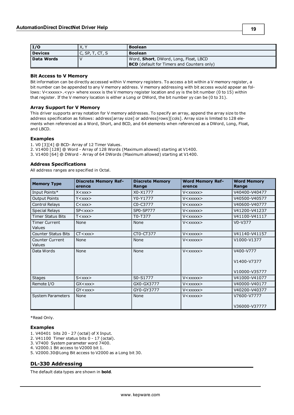| I/O            | X, \            | <b>Boolean</b>                                    |
|----------------|-----------------|---------------------------------------------------|
| <b>Devices</b> | C, SP, T, CT, S | <b>Boolean</b>                                    |
| Data Words     |                 | Word, <b>Short</b> , DWord, Long, Float, LBCD     |
|                |                 | <b>BCD</b> (default for Timers and Counters only) |

#### **Bit Access to V Memory**

Bit information can be directly accessed within V memory registers. To access a bit within a V memory register, a bit number can be appended to any V memory address. V memory addressing with bit access would appear as follows: V<xxxxx>.<yy> where xxxxx is the V memory register location and yy is the bit number (0 to 15) within that register. If the V memory location is either a Long or DWord, the bit number yy can be (0 to 31).

#### **Array Support for V Memory**

This driver supports array notation for V memory addresses. To specify an array, append the array size to the address specification as follows: address[array size] or address[rows][cols]. Array size is limited to 128 elements when referenced as a Word, Short, and BCD, and 64 elements when referenced as a DWord, Long, Float, and LBCD.

#### **Examples**

1. V0 [3][4] @ BCD- Array of 12 Timer Values. 2. V1400 [128] @ Word - Array of 128 Words (Maximum allowed) starting at V1400. 3. V1400 [64] @ DWord - Array of 64 DWords (Maximum allowed) starting at V1400.

#### **Address Specifications**

All address ranges are specified in Octal.

| <b>Memory Type</b>               | <b>Discrete Memory Ref-</b><br>erence                      | <b>Discrete Memory</b><br>Range   | <b>Word Memory Ref-</b><br>erence                  | <b>Word Memory</b><br>Range               |
|----------------------------------|------------------------------------------------------------|-----------------------------------|----------------------------------------------------|-------------------------------------------|
| Input Points*                    | $X<$ $\angle$ $\angle$ $\times$ $\times$ $\times$ $\times$ | X0-X1777                          | $V<$ XXXXX $>$                                     | V40400-V40477                             |
| <b>Output Points</b>             | $Y <$ $\chi$ $\chi$ $\chi$ $>$                             | Y0-Y1777                          | $V <$ xxxxx $>$                                    | V40500-V40577                             |
| Control Relays                   | $C<\mathsf{XXX}$                                           | C <sub>0</sub> -C <sub>3777</sub> | $V<$ XXXXX $>$                                     | V40600-V40777                             |
| <b>Special Relays</b>            | SP < xxx                                                   | SP0-SP777                         | $V<$ xxxxx $>$                                     | V41200-V41237                             |
| <b>Timer Status Bits</b>         | T < xxx                                                    | T0-T377                           | $V<$ XXXXX $>$                                     | V41100-V41117                             |
| <b>Timer Current</b><br>Values   | None                                                       | None                              | V <xxxxx></xxxxx>                                  | $V0-V377$                                 |
| <b>Counter Status Bits</b>       | CT < xxx >                                                 | CT0-CT377                         | $V<$ xxxxx $>$                                     | V41140-V41157                             |
| <b>Counter Current</b><br>Values | None                                                       | None                              | V <xxxxx></xxxxx>                                  | V1000-V1377                               |
| Data Words                       | None                                                       | None                              | V <xxxxx></xxxxx>                                  | V400-V777<br>V1400-V7377<br>V10000-V35777 |
| <b>Stages</b>                    | $S<$ xxx $>$                                               | S0-S1777                          | $V<$ XXXXX $>$                                     | V41000-V41077                             |
| Remote I/O                       | $GX$ $<$ $xx$ $x$ $>$                                      | GX0-GX3777                        | V <xxxxx></xxxxx>                                  | V40000-V40177                             |
|                                  | $GY <$ $XXX>$                                              | GY0-GY3777                        | $V <$ $\times$ $\times$ $\times$ $\times$ $\times$ | V40200-V40377                             |
| <b>System Parameters</b>         | None                                                       | None                              | V <xxxxx></xxxxx>                                  | V7600-V7777<br>V36000-V37777              |

\*Read Only.

#### **Examples**

- 1. V40401 bits 20 27 (octal) of X Input.
- 2. V41100 Timer status bits 0 17 (octal).
- 3. V7400 System parameter word 7400.
- 4. V2000.1 Bit access to V2000 bit 1.
- <span id="page-18-0"></span>5. V2000.30@Long Bit access to V2000 as a Long bit 30.

# **DL-330 Addressing**

The default data types are shown in **bold**.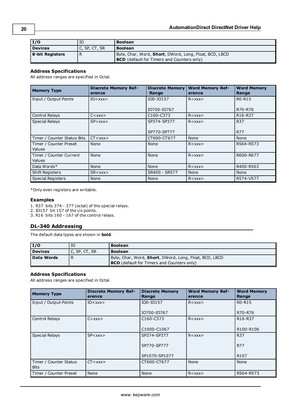| <b>I/O</b>      | IC            | <b>Boolean</b>                                         |
|-----------------|---------------|--------------------------------------------------------|
| Devices         | C. SP. CT. SR | <b>Boolean</b>                                         |
| 8-bit Registers |               | Byte, Char, Word, Short, DWord, Long, Float, BCD, LBCD |
|                 |               | <b>BCD</b> (default for Timers and Counters only)      |

### **Address Specifications**

All address ranges are specified in Octal.

| <b>Memory Type</b>                      | <b>Discrete Memory Ref-</b><br>erence    | <b>Discrete Memory</b><br>Range    | <b>Word Memory Ref-</b><br>erence | <b>Word Memory</b><br>Range      |
|-----------------------------------------|------------------------------------------|------------------------------------|-----------------------------------|----------------------------------|
| Input / Output Points                   | $IO<$ $XXX>$                             | IO0-IO157                          | R < xxx                           | R0-R15                           |
|                                         |                                          | IO700-IO767                        |                                   | R70-R76                          |
| <b>Control Relays</b>                   | $C<$ $\times$ $\times$ $\times$ $\times$ | C <sub>160</sub> -C <sub>373</sub> | R < xxx                           | R <sub>16</sub> -R <sub>37</sub> |
| <b>Special Relays</b>                   | $SP < x$ $x$ $x$                         | SP374-SP377                        | R < xxx                           | <b>R37</b>                       |
|                                         |                                          | SP770-SP777                        |                                   | <b>R77</b>                       |
| Timer / Counter Status Bits             | CT < xxx                                 | CT600-CT677                        | None                              | None                             |
| Timer / Counter Preset<br><b>Values</b> | None                                     | None                               | R < xxx                           | R564-R573                        |
| Timer / Counter Current<br>Values       | None                                     | None                               | R < xxx                           | R600-R677                        |
| Data Words*                             | None                                     | None                               | R < xxx                           | R400-R563                        |
| <b>Shift Registers</b>                  | $SR <$ $\chi$ $\chi$ $\chi$              | SR400 - SR577                      | None                              | None                             |
| <b>Special Registers</b>                | None                                     | None                               | R < xxx                           | R574-V577                        |

\*Only even registers are writable.

#### **Examples**

1. R37 bits 374 - 377 (octal) of the special relays.

2. IO157 bit 157 of the i/o points.

<span id="page-19-0"></span>3. R16 bits 160 - 167 of the control relays.

### **DL-340 Addressing**

The default data types are shown in **bold**.

| I/O        | IO            | <b>Boolean</b>                                                                                                      |
|------------|---------------|---------------------------------------------------------------------------------------------------------------------|
| Devices    | C, SP, CT, SR | <b>Boolean</b>                                                                                                      |
| Data Words | R             | Byte, Char, Word, <b>Short</b> , DWord, Long, Float, BCD, LBCD<br><b>BCD</b> (default for Timers and Counters only) |

### **Address Specifications**

All address ranges are specified in Octal.

| <b>Memory Type</b>                    | <b>Discrete Memory Ref-</b><br>erence             | <b>Discrete Memory</b><br>Range    | <b>Word Memory Ref-</b><br>erence | <b>Word Memory</b><br>Range      |
|---------------------------------------|---------------------------------------------------|------------------------------------|-----------------------------------|----------------------------------|
| Input / Output Points                 | $IO<$ xxx $>$                                     | IO0-IO157                          | R < xxx                           | R <sub>0</sub> -R <sub>15</sub>  |
|                                       |                                                   | IO700-IO767                        |                                   | R70-R76                          |
| <b>Control Relays</b>                 | $C<$ $\angle$ $\angle$ $\times$ $\times$ $\times$ | C <sub>160</sub> -C <sub>373</sub> | R < xxx                           | R <sub>16</sub> -R <sub>37</sub> |
|                                       |                                                   | C1000-C1067                        |                                   | R100-R106                        |
| <b>Special Relays</b>                 | SP < xxx                                          | SP374-SP377                        | R < xxx                           | <b>R37</b>                       |
|                                       |                                                   | SP770-SP777                        |                                   | <b>R77</b>                       |
|                                       |                                                   | SP1070-SP1077                      |                                   | R <sub>107</sub>                 |
| Timer / Counter Status<br><b>Bits</b> | CT < xxx                                          | CT600-CT677                        | None                              | None                             |
| Timer / Counter Preset                | None                                              | None                               | R < xxx                           | R564-R573                        |

**20**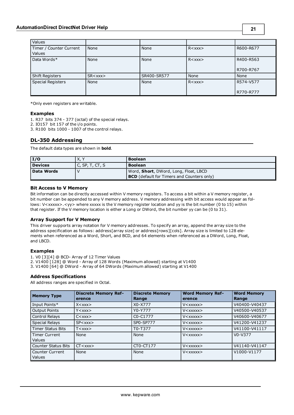| Values                  |                |             |         |           |
|-------------------------|----------------|-------------|---------|-----------|
| Timer / Counter Current | None           | None        | R < xxx | R600-R677 |
| Values                  |                |             |         |           |
| Data Words*             | None           | None        | R < xxx | R400-R563 |
|                         |                |             |         |           |
|                         |                |             |         | R700-R767 |
| <b>Shift Registers</b>  | $SR <$ xxx $>$ | SR400-SR577 | None    | None      |
| Special Registers       | None           | None        | R < xxx | R574-V577 |
|                         |                |             |         |           |
|                         |                |             |         | R770-R777 |

\*Only even registers are writable.

#### **Examples**

- 1. R37 bits 374 377 (octal) of the special relays.
- 2. IO157 bit 157 of the i/o points.
- <span id="page-20-0"></span>3. R100 bits 1000 - 1007 of the control relays.

### **DL-350 Addressing**

The default data types are shown in **bold**.

| I/O        | X. \               | <b>Boolean</b>                                    |
|------------|--------------------|---------------------------------------------------|
| Devices    | C, SP, T, $CT$ , S | <b>Boolean</b>                                    |
| Data Words |                    | Word, Short, DWord, Long, Float, LBCD             |
|            |                    | <b>BCD</b> (default for Timers and Counters only) |

#### **Bit Access to V Memory**

Bit information can be directly accessed within V memory registers. To access a bit within a V memory register, a bit number can be appended to any V memory address. V memory addressing with bit access would appear as follows: V<xxxxx>.<yy> where xxxxx is the V memory register location and yy is the bit number (0 to 15) within that register. If the V memory location is either a Long or DWord, the bit number yy can be (0 to 31).

#### **Array Support for V Memory**

This driver supports array notation for V memory addresses. To specify an array, append the array size to the address specification as follows: address[array size] or address[rows][cols]. Array size is limited to 128 elements when referenced as a Word, Short, and BCD, and 64 elements when referenced as a DWord, Long, Float, and LBCD.

#### **Examples**

1. V0 [3][4] @ BCD- Array of 12 Timer Values

2. V1400 [128] @ Word - Array of 128 Words (Maximum allowed) starting at V1400

3. V1400 [64] @ DWord - Array of 64 DWords (Maximum allowed) starting at V1400

#### **Address Specifications**

All address ranges are specified in Octal.

| <b>Memory Type</b>                      | <b>Discrete Memory Ref-</b><br>erence | <b>Discrete Memory</b><br>Range | <b>Word Memory Ref-</b><br>erence | <b>Word Memory</b><br>Range |
|-----------------------------------------|---------------------------------------|---------------------------------|-----------------------------------|-----------------------------|
| Input Points*                           | $X <$ $X$ $X$ $X$ $>$                 | X0-X777                         | $V <$ XXXXX $>$                   | V40400-V40437               |
| <b>Output Points</b>                    | Y < xxx                               | Y0-Y777                         | $V <$ XXXXX $>$                   | V40500-V40537               |
| Control Relays                          | $C<$ xxx $>$                          | $CO-C1777$                      | $V <$ xxxxx $>$                   | V40600-V40677               |
| <b>Special Relays</b>                   | SP < xxx                              | SP0-SP777                       | $V <$ xxxxx $>$                   | V41200-V41237               |
| <b>Timer Status Bits</b>                | T < xxx                               | T0-T377                         | $V <$ xxxxx $>$                   | V41100-V41117               |
| <b>Timer Current</b><br><b>Values</b>   | None                                  | None                            | $V<$ xxxxx $>$                    | $V0-V377$                   |
| <b>Counter Status Bits</b>              | CT < xxx                              | CT0-CT177                       | $V<$ XXXXX $>$                    | V41140-V41147               |
| <b>Counter Current</b><br><b>Values</b> | None                                  | None                            | $V<$ xxxxx $>$                    | V1000-V1177                 |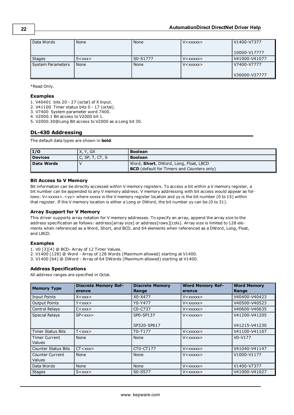| Data Words        | None         | None     | $V <$ xxxxx $>$ | V1400-V7377   |
|-------------------|--------------|----------|-----------------|---------------|
|                   |              |          |                 | 10000-V17777  |
| <b>Stages</b>     | $S<$ XXX $>$ | S0-S1777 | $V <$ xxxxx $>$ | V41000-V41077 |
| System Parameters | None         | None     | $V <$ xxxxx $>$ | V7400-V7777   |
|                   |              |          |                 | V36000-V37777 |

#### **Examples**

1. V40401 bits 20 - 27 (octal) of X Input.

2. V41100 Timer status bits 0 - 17 (octal).

3. V7400 System parameter word 7400.

4. V2000.1 Bit access to V2000 bit 1.

<span id="page-21-0"></span>5. V2000.30@Long Bit access to V2000 as a Long bit 30.

#### **DL-430 Addressing**

The default data types are shown in **bold**.

| I/O            | X, Y, GX           | <b>Boolean</b>                                    |  |
|----------------|--------------------|---------------------------------------------------|--|
| <b>Devices</b> | $C$ , SP, T, CT, S | <b>Boolean</b>                                    |  |
| Data Words     |                    | Word, Short, DWord, Long, Float, LBCD             |  |
|                |                    | <b>BCD</b> (default for Timers and Counters only) |  |

#### **Bit Access to V Memory**

Bit information can be directly accessed within V memory registers. To access a bit within a V memory register, a bit number can be appended to any V memory address. V memory addressing with bit access would appear as follows: V<xxxxx>.<yy> where xxxxx is the V memory register location and yy is the bit number (0 to 15) within that register. If the V memory location is either a Long or DWord, the bit number yy can be (0 to 31).

#### **Array Support for V Memory**

This driver supports array notation for V memory addresses. To specify an array, append the array size to the address specification as follows: address[array size] or address[rows][cols]. Array size is limited to 128 elements when referenced as a Word, Short, and BCD, and 64 elements when referenced as a DWord, Long, Float, and LBCD.

#### **Examples**

1. V0 [3][4] @ BCD- Array of 12 Timer Values.

2. V1400 [128] @ Word - Array of 128 Words (Maximum allowed) starting at V1400.

3. V1400 [64] @ DWord - Array of 64 DWords (Maximum allowed) starting at V1400.

#### **Address Specifications**

All address ranges are specified in Octal.

| <b>Memory Type</b>             | <b>Discrete Memory Ref-</b><br>erence             | <b>Discrete Memory</b><br>Range   | <b>Word Memory Ref-</b><br>erence                  | <b>Word Memory</b><br>Range    |
|--------------------------------|---------------------------------------------------|-----------------------------------|----------------------------------------------------|--------------------------------|
| <b>Input Points</b>            | X < XXX                                           | X0-X477                           | $V<$ xxxxx $>$                                     | V40400-V40423                  |
| <b>Output Points</b>           | $Y <$ xxx $>$                                     | Y0-Y477                           | V <xxxxx></xxxxx>                                  | V40500-V40523                  |
| Control Relays                 | $C<$ xxx $>$                                      | C <sub>0</sub> -C <sub>7</sub> 37 | $V <$ xxxxx $>$                                    | V40600-V40635                  |
| <b>Special Relays</b>          | SP < xxx                                          | SP0-SP137<br>SP320-SP617          | $V<$ XXXXX $>$                                     | V41200-V41205<br>V41215-V41230 |
| Timer Status Bits              | $T <$ $\times$ $\times$ $\times$                  | T0-T177                           | V <xxxxx></xxxxx>                                  | V41100-V41107                  |
| <b>Timer Current</b><br>Values | None                                              | None                              | V <xxxxx></xxxxx>                                  | $V0-V177$                      |
| <b>Counter Status Bits</b>     | CT < xxx                                          | CT0-CT177                         | V <xxxxx></xxxxx>                                  | V41040-V41147                  |
| Counter Current<br>Values      | None                                              | None                              | $V<$ xxxxx $>$                                     | V1000-V1177                    |
| Data Words                     | None                                              | None                              | $V <$ $\times$ $\times$ $\times$ $\times$ $\times$ | V1400-V7377                    |
| <b>Stages</b>                  | $S<$ $\angle$ $\angle$ $\times$ $\times$ $\times$ | S0-S577                           | $V <$ xxxxx $>$                                    | V41000-V41027                  |

**22**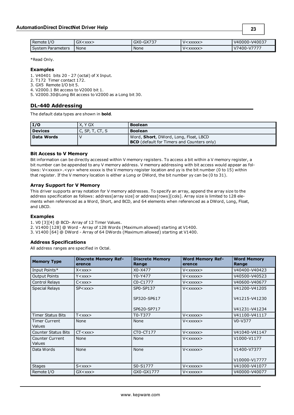| Remote I/O        | $\sim$<br>GX <xxx></xxx> | GX0-GX737 | V <xxxxx></xxxxx> | V40000-V40037 |
|-------------------|--------------------------|-----------|-------------------|---------------|
| System Parameters | None                     | None      | V <xxxxx></xxxxx> | V7400-V7777   |

#### **Examples**

1. V40401 bits 20 - 27 (octal) of X Input.

2. T172 Timer contact 172.

3. GX5 Remote I/O bit 5.

4. V2000.1 Bit access to V2000 bit 1.

<span id="page-22-0"></span>5. V2000.30@Long Bit access to V2000 as a Long bit 30.

### **DL-440 Addressing**

The default data types are shown in **bold**.

| 1/0            | X, Y GX         | <b>Boolean</b>                                    |  |
|----------------|-----------------|---------------------------------------------------|--|
| <b>Devices</b> | C, SP, T, CT, S | <b>Boolean</b>                                    |  |
| Data Words     |                 | Word, Short, DWord, Long, Float, LBCD             |  |
|                |                 | <b>BCD</b> (default for Timers and Counters only) |  |

#### **Bit Access to V Memory**

Bit information can be directly accessed within V memory registers. To access a bit within a V memory register, a bit number can be appended to any V memory address. V memory addressing with bit access would appear as follows: V<xxxxx>.<yy> where xxxxx is the V memory register location and yy is the bit number (0 to 15) within that register. If the V memory location is either a Long or DWord, the bit number yy can be (0 to 31).

#### **Array Support for V Memory**

This driver supports array notation for V memory addresses. To specify an array, append the array size to the address specification as follows: address[array size] or address[rows][cols]. Array size is limited to 128 elements when referenced as a Word, Short, and BCD, and 64 elements when referenced as a DWord, Long, Float, and LBCD.

#### **Examples**

1. V0 [3][4] @ BCD- Array of 12 Timer Values.

2. V1400 [128] @ Word - Array of 128 Words (Maximum allowed) starting at V1400.

3. V1400 [64] @ DWord - Array of 64 DWords (Maximum allowed) starting at V1400.

#### **Address Specifications**

All address ranges are specified in Octal.

| <b>Memory Type</b>               | <b>Discrete Memory Ref-</b><br>erence             | <b>Discrete Memory</b><br>Range | <b>Word Memory Ref-</b><br>erence | <b>Word Memory</b><br>Range |
|----------------------------------|---------------------------------------------------|---------------------------------|-----------------------------------|-----------------------------|
| Input Points*                    | $X <$ $XXX>$                                      | X0-X477                         | V <xxxxx></xxxxx>                 | V40400-V40423               |
| <b>Output Points</b>             | $Y <$ $\chi$ $\chi$ $\chi$ $>$                    | Y0-Y477                         | V <xxxxx></xxxxx>                 | V40500-V40523               |
| Control Relays                   | $C<\mathsf{XXX}$                                  | C0-C1777                        | $V<$ XXXXX $>$                    | V40600-V40677               |
| <b>Special Relays</b>            | $SP < x$ $x$ $x$                                  | SP0-SP137                       | $V<$ XXXXX $>$                    | V41200-V41205               |
|                                  |                                                   | SP320-SP617                     |                                   | V41215-V41230               |
|                                  |                                                   | SP620-SP717                     |                                   | V41231-V41234               |
| <b>Timer Status Bits</b>         | T < xxx                                           | T0-T377                         | V <xxxxx></xxxxx>                 | V41100-V41117               |
| <b>Timer Current</b><br>Values   | None                                              | None                            | $V <$ xxxxx $>$                   | $V0-V377$                   |
| <b>Counter Status Bits</b>       | CT < xxx                                          | CT0-CT177                       | V <xxxxx></xxxxx>                 | V41040-V41147               |
| Counter Current<br><b>Values</b> | None                                              | None                            | V <xxxxx></xxxxx>                 | V1000-V1177                 |
| Data Words                       | None                                              | None                            | V <xxxxx></xxxxx>                 | V1400-V7377                 |
|                                  |                                                   |                                 |                                   | V10000-V17777               |
| <b>Stages</b>                    | $S<$ $\angle$ $\angle$ $\times$ $\times$ $\times$ | S0-S1777                        | $V<$ XXXXX $>$                    | V41000-V41077               |
| Remote I/O                       | $GX$ < $xxx$                                      | GX0-GX1777                      | V <xxxxx></xxxxx>                 | V40000-V40077               |

**23**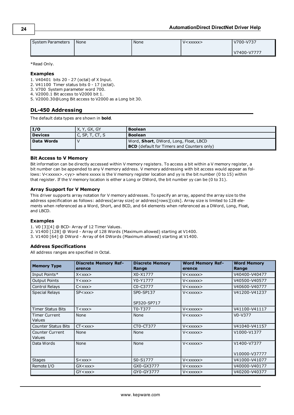| System Parameters | None | None | $V < X$ $X$ $X$ $X$ $X$ $>$ | V700-V737   |
|-------------------|------|------|-----------------------------|-------------|
|                   |      |      |                             | V7400-V7777 |

#### **Examples**

1. V40401 bits 20 - 27 (octal) of X Input.

2. V41100 Timer status bits 0 - 17 (octal).

3. V700 System parameter word 700.

4. V2000.1 Bit access to V2000 bit 1.

<span id="page-23-0"></span>5. V2000.30@Long Bit access to V2000 as a Long bit 30.

### **DL-450 Addressing**

The default data types are shown in **bold**.

| $\vert I/O$    | X, Y, GX, GY    | <b>Boolean</b>                                    |
|----------------|-----------------|---------------------------------------------------|
| <b>Devices</b> | C, SP, T, CT, S | <b>Boolean</b>                                    |
| Data Words     |                 | Word, <b>Short</b> , DWord, Long, Float, LBCD     |
|                |                 | <b>BCD</b> (default for Timers and Counters only) |

#### **Bit Access to V Memory**

Bit information can be directly accessed within V memory registers. To access a bit within a V memory register, a bit number can be appended to any V memory address. V memory addressing with bit access would appear as follows: V<xxxxx>.<yy> where xxxxx is the V memory register location and yy is the bit number (0 to 15) within that register. If the V memory location is either a Long or DWord, the bit number yy can be (0 to 31).

#### **Array Support for V Memory**

This driver supports array notation for V memory addresses. To specify an array, append the array size to the address specification as follows: address[array size] or address[rows][cols]. Array size is limited to 128 elements when referenced as a Word, Short, and BCD, and 64 elements when referenced as a DWord, Long, Float, and LBCD.

#### **Examples**

1. V0 [3][4] @ BCD- Array of 12 Timer Values.

2. V1400 [128] @ Word - Array of 128 Words (Maximum allowed) starting at V1400.

3. V1400 [64] @ DWord - Array of 64 DWords (Maximum allowed) starting at V1400.

#### **Address Specifications**

All address ranges are specified in Octal.

| <b>Memory Type</b>               | <b>Discrete Memory Ref-</b><br>erence             | <b>Discrete Memory</b><br>Range | <b>Word Memory Ref-</b><br>erence                  | <b>Word Memory</b><br>Range  |
|----------------------------------|---------------------------------------------------|---------------------------------|----------------------------------------------------|------------------------------|
| Input Points*                    | $X <$ $X$ $X$ $X$ $>$                             | X0-X1777                        | $V <$ $\times$ $\times$ $\times$ $\times$ $\times$ | V40400-V40477                |
| <b>Output Points</b>             | $Y <$ xxx $>$                                     | Y0-Y1777                        | V <xxxxx></xxxxx>                                  | V40500-V40577                |
| Control Relays                   | $C<$ xxx $>$                                      | C0-C3777                        | V <xxxxx></xxxxx>                                  | V40600-V40777                |
| <b>Special Relays</b>            | SP < xxx                                          | SP0-SP137<br>SP320-SP717        | V <xxxxx></xxxxx>                                  | V41200-V41237                |
| <b>Timer Status Bits</b>         | T < xxx                                           | T0-T377                         | $V<$ XXXXX $>$                                     | V41100-V41117                |
| <b>Timer Current</b><br>Values   | None                                              | None                            | V <xxxxx></xxxxx>                                  | $V0-V377$                    |
| <b>Counter Status Bits</b>       | CT < xxx                                          | CT0-CT377                       | V <xxxxx></xxxxx>                                  | V41040-V41157                |
| <b>Counter Current</b><br>Values | None                                              | None                            | $V <$ $\times$ $\times$ $\times$ $\times$ $\times$ | V1000-V1377                  |
| Data Words                       | None                                              | None                            | V <xxxxx></xxxxx>                                  | V1400-V7377<br>V10000-V37777 |
| <b>Stages</b>                    | $S<$ $\angle$ $\angle$ $\times$ $\times$ $\times$ | S0-S1777                        | $V <$ $\times$ $\times$ $\times$ $\times$ $\times$ | V41000-V41077                |
| Remote I/O                       | $GX$ < $xxx$                                      | GX0-GX3777                      | $V <$ $\times$ $\times$ $\times$ $\times$ $\times$ | V40000-V40177                |
|                                  | $GY <$ $xxx$                                      | GY0-GY3777                      | V <xxxxx></xxxxx>                                  | V40200-V40377                |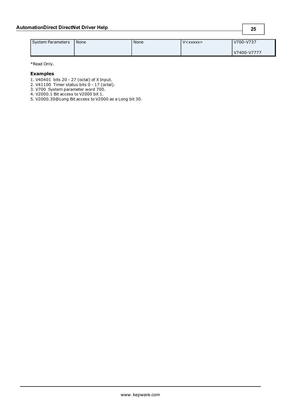| System Parameters | None | None | $V <$ XXXXX $>$ | V700-V737   |
|-------------------|------|------|-----------------|-------------|
|                   |      |      |                 | V7400-V7777 |

#### **Examples**

1. V40401 bits 20 - 27 (octal) of X Input.

2. V41100 Timer status bits 0 - 17 (octal).

3. V700 System parameter word 700.

4. V2000.1 Bit access to V2000 bit 1.

5. V2000.30@Long Bit access to V2000 as a Long bit 30.

**25**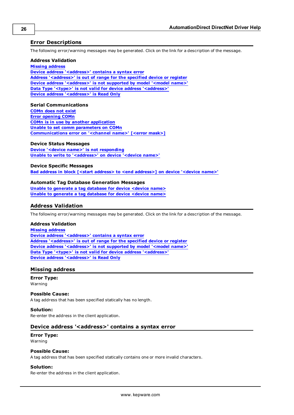# <span id="page-25-0"></span>**Error Descriptions**

The following error/warning messages may be generated. Click on the link for a description of the message.

#### **Address Validation**

**[Missing](#page-25-2) [address](#page-25-2) [Device](#page-25-3) [address](#page-25-3) ['<address>'](#page-25-3) [contains](#page-25-3) [a](#page-25-3) [syntax](#page-25-3) [error](#page-25-3) [Address](#page-26-0) ['<address>'](#page-26-0) [is](#page-26-0) [out](#page-26-0) [of](#page-26-0) [range](#page-26-0) [for](#page-26-0) [the](#page-26-0) [specified](#page-26-0) [device](#page-26-0) [or](#page-26-0) [register](#page-26-0) [Device](#page-26-1) [address](#page-26-1) ['<address>'](#page-26-1) [is](#page-26-1) [not](#page-26-1) [supported](#page-26-1) [by](#page-26-1) [model](#page-26-1) ['<model](#page-26-1) [name>'](#page-26-1) [Data](#page-26-2) [Type](#page-26-2) ['<type>'](#page-26-2) [is](#page-26-2) [not](#page-26-2) [valid](#page-26-2) [for](#page-26-2) [device](#page-26-2) [address](#page-26-2) ['<address>'](#page-26-2) [Device](#page-26-3) [address](#page-26-3) ['<address>'](#page-26-3) [is](#page-26-3) [Read](#page-26-3) [Only](#page-26-3)**

#### **Serial Communications**

**[COMn](#page-26-5) [does](#page-26-5) [not](#page-26-5) [exist](#page-26-5) [Error](#page-27-0) [opening](#page-27-0) [COMn](#page-27-0) [COMn](#page-27-1) [is](#page-27-1) [in](#page-27-1) [use](#page-27-1) [by](#page-27-1) [another](#page-27-1) [application](#page-27-1) [Unable](#page-27-2) [to](#page-27-2) [set](#page-27-2) [comm](#page-27-2) [parameters](#page-27-2) [on](#page-27-2) [COMn](#page-27-2) [Communications](#page-27-3) [error](#page-27-3) [on](#page-27-3) ['<channel](#page-27-3) [name>'](#page-27-3) [\[<error](#page-27-3) [mask>\]](#page-27-3)**

#### **Device Status Messages**

**[Device](#page-28-0) ['<device](#page-28-0) [name>'](#page-28-0) [is](#page-28-0) [not](#page-28-0) [responding](#page-28-0) [Unable](#page-28-1) [to](#page-28-1) [write](#page-28-1) [to](#page-28-1) ['<address>'](#page-28-1) [on](#page-28-1) [device](#page-28-1) ['<device](#page-28-1) [name>'](#page-28-1)**

#### **Device Specific Messages**

**[Bad](#page-28-3) [address](#page-28-3) [in](#page-28-3) [block](#page-28-3) [\[<start](#page-28-3) [address>](#page-28-3) [to](#page-28-3) [<end](#page-28-3) [address>\]](#page-28-3) [on](#page-28-3) [device](#page-28-3) ['<device](#page-28-3) [name>'](#page-28-3)**

#### **Automatic Tag Database Generation Messages**

**[Unable](#page-29-0) [to](#page-29-0) [generate](#page-29-0) [a](#page-29-0) [tag](#page-29-0) [database](#page-29-0) [for](#page-29-0) [device](#page-29-0) [<device](#page-29-0) [name>](#page-29-0) [Unable](#page-29-1) [to](#page-29-1) [generate](#page-29-1) [a](#page-29-1) [tag](#page-29-1) [database](#page-29-1) [for](#page-29-1) [device](#page-29-1) [<device](#page-29-1) [name>](#page-29-1)**

# <span id="page-25-1"></span>**Address Validation**

The following error/warning messages may be generated. Click on the link for a description of the message.

#### **Address Validation**

**[Missing](#page-25-2) [address](#page-25-2) [Device](#page-25-3) [address](#page-25-3) ['<address>'](#page-25-3) [contains](#page-25-3) [a](#page-25-3) [syntax](#page-25-3) [error](#page-25-3) [Address](#page-26-0) ['<address>'](#page-26-0) [is](#page-26-0) [out](#page-26-0) [of](#page-26-0) [range](#page-26-0) [for](#page-26-0) [the](#page-26-0) [specified](#page-26-0) [device](#page-26-0) [or](#page-26-0) [register](#page-26-0) [Device](#page-26-1) [address](#page-26-1) ['<address>'](#page-26-1) [is](#page-26-1) [not](#page-26-1) [supported](#page-26-1) [by](#page-26-1) [model](#page-26-1) ['<model](#page-26-1) [name>'](#page-26-1) [Data](#page-26-2) [Type](#page-26-2) ['<type>'](#page-26-2) [is](#page-26-2) [not](#page-26-2) [valid](#page-26-2) [for](#page-26-2) [device](#page-26-2) [address](#page-26-2) ['<address>'](#page-26-2) [Device](#page-26-3) [address](#page-26-3) ['<address>'](#page-26-3) [is](#page-26-3) [Read](#page-26-3) [Only](#page-26-3)**

#### <span id="page-25-2"></span>**Missing address**

**Error Type:** Warning

#### **Possible Cause:**

A tag address that has been specified statically has no length.

#### **Solution:**

<span id="page-25-3"></span>Re-enter the address in the client application.

#### Device address '<address>' contains a syntax error

# **Error Type:**

Warning

#### **Possible Cause:**

A tag address that has been specified statically contains one or more invalid characters.

#### **Solution:**

Re-enter the address in the client application.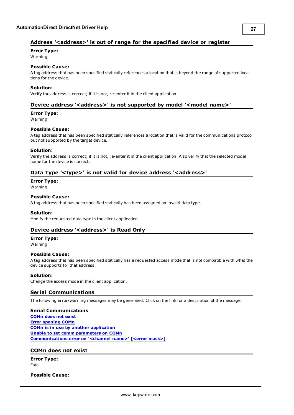# <span id="page-26-0"></span>**Address '<address>' is out of range for the specified device or register**

**Error Type:**

Warning

# **Possible Cause:**

A tag address that has been specified statically references a location that is beyond the range of supported locations for the device.

#### **Solution:**

<span id="page-26-1"></span>Verify the address is correct; if it is not, re-enter it in the client application.

# Device address '<address>' is not supported by model '<model name>'

#### **Error Type:**

Warning

#### **Possible Cause:**

A tag address that has been specified statically references a location that is valid for the communications protocol but not supported by the target device.

#### **Solution:**

Verify the address is correct; if it is not, re-enter it in the client application. Also verify that the selected model name for the device is correct.

# <span id="page-26-2"></span>Data Type '<type>' is not valid for device address '<address>'

**Error Type:**

Warning

#### **Possible Cause:**

A tag address that has been specified statically has been assigned an invalid data type.

#### **Solution:**

<span id="page-26-3"></span>Modify the requested data type in the client application.

# Device address '<address>' is Read Only

#### **Error Type:**

Warning

#### **Possible Cause:**

A tag address that has been specified statically has a requested access mode that is not compatible with what the device supports for that address.

#### **Solution:**

<span id="page-26-4"></span>Change the access mode in the client application.

# **Serial Communications**

The following error/warning messages may be generated. Click on the link for a description of the message.

#### **Serial Communications**

**[COMn](#page-26-5) [does](#page-26-5) [not](#page-26-5) [exist](#page-26-5) [Error](#page-27-0) [opening](#page-27-0) [COMn](#page-27-0) [COMn](#page-27-1) [is](#page-27-1) [in](#page-27-1) [use](#page-27-1) [by](#page-27-1) [another](#page-27-1) [application](#page-27-1) [Unable](#page-27-2) [to](#page-27-2) [set](#page-27-2) [comm](#page-27-2) [parameters](#page-27-2) [on](#page-27-2) [COMn](#page-27-2) [Communications](#page-27-3) [error](#page-27-3) [on](#page-27-3) ['<channel](#page-27-3) [name>'](#page-27-3) [\[<error](#page-27-3) [mask>\]](#page-27-3)**

#### <span id="page-26-5"></span>**COMn does not exist**

**Error Type:** Fatal

**Possible Cause:**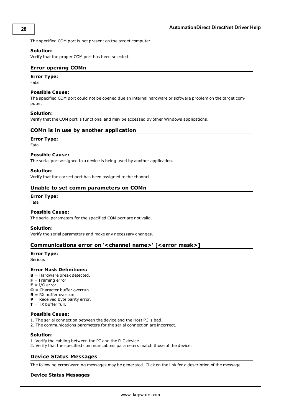The specified COM port is not present on the target computer.

#### **Solution:**

<span id="page-27-0"></span>Verify that the proper COM port has been selected.

#### **Error opening COMn**

# **Error Type:**

Fatal

#### **Possible Cause:**

The specified COM port could not be opened due an internal hardware or software problem on the target computer.

#### **Solution:**

<span id="page-27-1"></span>Verify that the COM port is functional and may be accessed by other Windows applications.

#### **COMn is in use by another application**

#### **Error Type:**

Fatal

#### **Possible Cause:**

The serial port assigned to a device is being used by another application.

#### **Solution:**

<span id="page-27-2"></span>Verify that the correct port has been assigned to the channel.

#### **Unable to set comm parameters on COMn**

### **Error Type:**

Fatal

#### **Possible Cause:**

The serial parameters for the specified COM port are not valid.

#### **Solution:**

<span id="page-27-3"></span>Verify the serial parameters and make any necessary changes.

#### **Communications error on '<channel name>' [<error mask>]**

#### **Error Type:**

Serious

#### **Error Mask Definitions:**

- <span id="page-27-5"></span>**B** = Hardware break detected.
- **F** = Framing error.
- <span id="page-27-6"></span> $E = I/O$  error.
- **O** = Character buffer overrun.
- <span id="page-27-7"></span>**R** = RX buffer overrun.
- **P** = Received byte parity error.

# $T = TX$  buffer full.

#### **Possible Cause:**

- 1. The serial connection between the device and the Host PC is bad.
- 2. The communications parameters for the serial connection are incorrect.

#### **Solution:**

- 1. Verify the cabling between the PC and the PLC device.
- <span id="page-27-4"></span>2. Verify that the specified communications parameters match those of the device.

# **Device Status Messages**

The following error/warning messages may be generated. Click on the link for a description of the message.

### **Device Status Messages**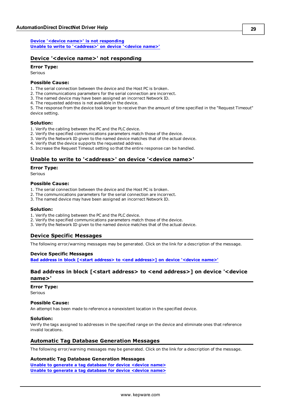**[Device](#page-28-0) ['<device](#page-28-0) [name>'](#page-28-0) [is](#page-28-0) [not](#page-28-0) [responding](#page-28-0) [Unable](#page-28-1) [to](#page-28-1) [write](#page-28-1) [to](#page-28-1) ['<address>'](#page-28-1) [on](#page-28-1) [device](#page-28-1) ['<device](#page-28-1) [name>'](#page-28-1)**

### <span id="page-28-0"></span>**Device '<device name>' not responding**

### **Error Type:**

Serious

#### **Possible Cause:**

1. The serial connection between the device and the Host PC is broken.

- 2. The communications parameters for the serial connection are incorrect.
- 3. The named device may have been assigned an incorrect Network ID.
- 4. The requested address is not available in the device.

5. The response from the device took longer to receive than the amount of time specified in the "Request Timeout" device setting.

#### **Solution:**

- 1. Verify the cabling between the PC and the PLC device.
- 2. Verify the specified communications parameters match those of the device.
- 3. Verify the Network ID given to the named device matches that of the actual device.
- 4. Verify that the device supports the requested address.

<span id="page-28-1"></span>5. Increase the Request Timeout setting so that the entire response can be handled.

#### Unable to write to '<address>' on device '<device name>'

#### **Error Type:**

Serious

#### **Possible Cause:**

- 1. The serial connection between the device and the Host PC is broken.
- 2. The communications parameters for the serial connection are incorrect.
- 3. The named device may have been assigned an incorrect Network ID.

#### **Solution:**

- 1. Verify the cabling between the PC and the PLC device.
- 2. Verify the specified communications parameters match those of the device.
- <span id="page-28-2"></span>3. Verify the Network ID given to the named device matches that of the actual device.

#### **Device Specific Messages**

The following error/warning messages may be generated. Click on the link for a description of the message.

#### **Device Specific Messages**

<span id="page-28-3"></span>**[Bad](#page-28-3) [address](#page-28-3) [in](#page-28-3) [block](#page-28-3) [\[<start](#page-28-3) [address>](#page-28-3) [to](#page-28-3) [<end](#page-28-3) [address>\]](#page-28-3) [on](#page-28-3) [device](#page-28-3) ['<device](#page-28-3) [name>'](#page-28-3)**

### **Bad address in block [<start address> to <end address>] on device '<device name>'**

#### **Error Type:**

Serious

#### **Possible Cause:**

An attempt has been made to reference a nonexistent location in the specified device.

#### **Solution:**

Verify the tags assigned to addresses in the specified range on the device and eliminate ones that reference invalid locations.

#### <span id="page-28-4"></span>**Automatic Tag Database Generation Messages**

The following error/warning messages may be generated. Click on the link for a description of the message.

#### **Automatic Tag Database Generation Messages**

**[Unable](#page-29-0) [to](#page-29-0) [generate](#page-29-0) [a](#page-29-0) [tag](#page-29-0) [database](#page-29-0) [for](#page-29-0) [device](#page-29-0) [<device](#page-29-0) [name>](#page-29-0) [Unable](#page-29-1) [to](#page-29-1) [generate](#page-29-1) [a](#page-29-1) [tag](#page-29-1) [database](#page-29-1) [for](#page-29-1) [device](#page-29-1) [<device](#page-29-1) [name>](#page-29-1)**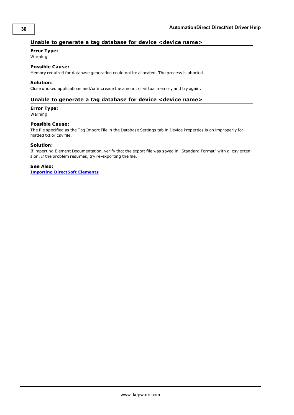# <span id="page-29-0"></span>**Unable to generate a tag database for device <device name>**

# **Error Type:**

Warning

# **Possible Cause:**

Memory required for database generation could not be allocated. The process is aborted.

#### **Solution:**

<span id="page-29-1"></span>Close unused applications and/or increase the amount of virtual memory and try again.

### **Unable to generate a tag database for device <device name>**

#### **Error Type:**

Warning

#### **Possible Cause:**

The file specified as the Tag Import File in the Database Settings tab in Device Properties is an improperly formatted txt or csv file.

#### **Solution:**

If importing Element Documentation, verify that the export file was saved in "Standard Format" with a .csv extension. If the problem resumes, try re-exporting the file.

#### **See Also:**

**[Importing](#page-7-3) [DirectSoft](#page-7-3) [Elements](#page-7-3)**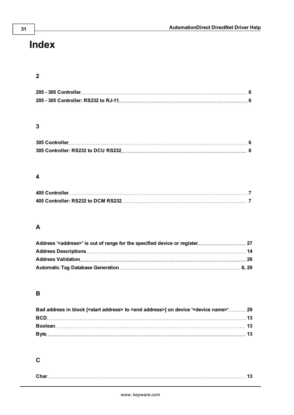# <span id="page-30-0"></span>**Index**

# **2**

# **3**

# **4**

# **A**

# **B**

| Bad address in block [ <start address=""> to <end address="">] on device '<device name="">'29</device></end></start> |  |
|----------------------------------------------------------------------------------------------------------------------|--|
|                                                                                                                      |  |
|                                                                                                                      |  |
|                                                                                                                      |  |

# **C**

| $\sim$<br>$\phi$ har |
|----------------------|
|----------------------|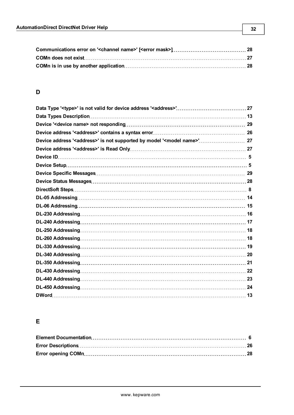# **D**

| Device address ' <address>' is not supported by model '<model name="">' 27</model></address> |  |
|----------------------------------------------------------------------------------------------|--|
|                                                                                              |  |
|                                                                                              |  |
|                                                                                              |  |
|                                                                                              |  |
|                                                                                              |  |
|                                                                                              |  |
|                                                                                              |  |
|                                                                                              |  |
|                                                                                              |  |
|                                                                                              |  |
|                                                                                              |  |
|                                                                                              |  |
|                                                                                              |  |
|                                                                                              |  |
|                                                                                              |  |
|                                                                                              |  |
|                                                                                              |  |
|                                                                                              |  |
|                                                                                              |  |

# **E**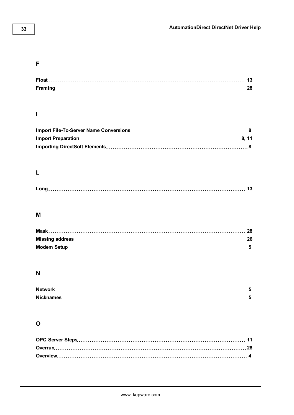# **F**

# **I**

# **L**

|--|

# **M**

# **N**

# **O**